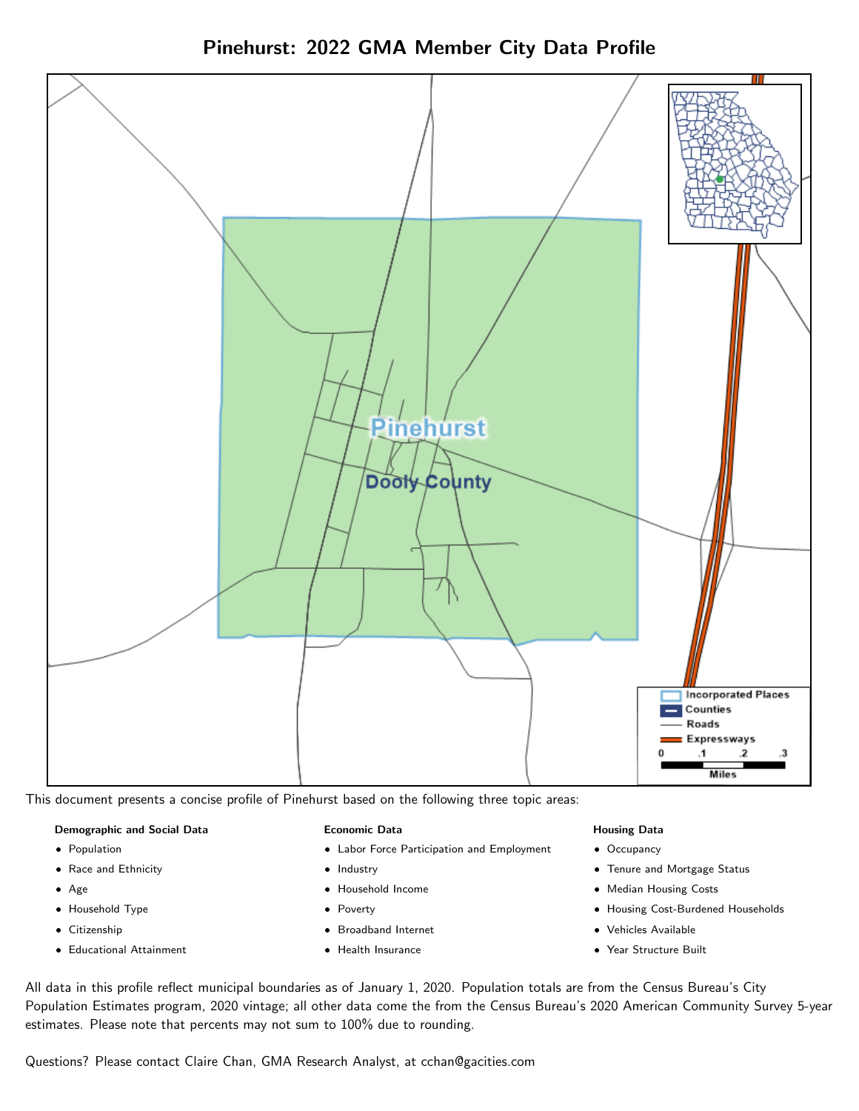



This document presents a concise profile of Pinehurst based on the following three topic areas:

#### Demographic and Social Data

- **•** Population
- Race and Ethnicity
- Age
- Household Type
- **Citizenship**
- Educational Attainment

#### Economic Data

- Labor Force Participation and Employment
- Industry
- Household Income
- Poverty
- Broadband Internet
- Health Insurance

#### Housing Data

- Occupancy
- Tenure and Mortgage Status
- Median Housing Costs
- Housing Cost-Burdened Households
- Vehicles Available
- Year Structure Built

All data in this profile reflect municipal boundaries as of January 1, 2020. Population totals are from the Census Bureau's City Population Estimates program, 2020 vintage; all other data come the from the Census Bureau's 2020 American Community Survey 5-year estimates. Please note that percents may not sum to 100% due to rounding.

Questions? Please contact Claire Chan, GMA Research Analyst, at [cchan@gacities.com.](mailto:cchan@gacities.com)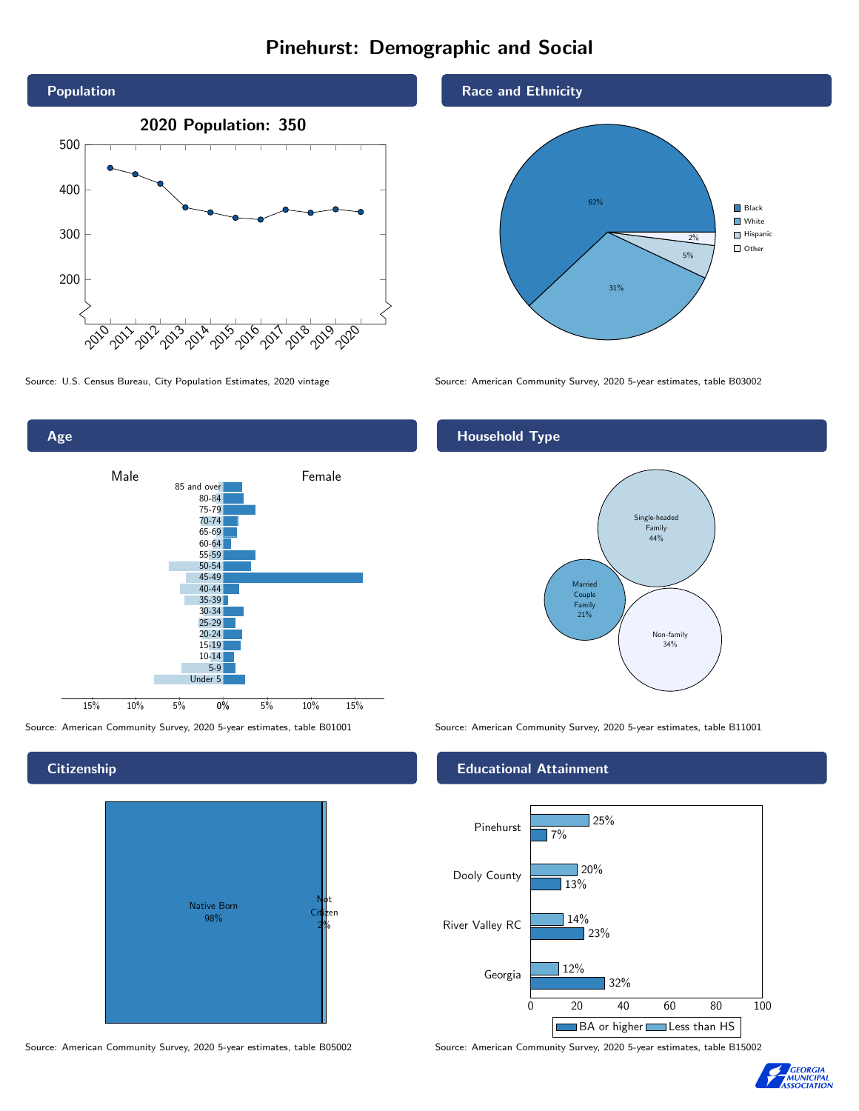# Pinehurst: Demographic and Social





#### **Citizenship**



Source: American Community Survey, 2020 5-year estimates, table B05002 Source: American Community Survey, 2020 5-year estimates, table B15002

#### Race and Ethnicity



Source: U.S. Census Bureau, City Population Estimates, 2020 vintage Source: American Community Survey, 2020 5-year estimates, table B03002

## Household Type



Source: American Community Survey, 2020 5-year estimates, table B01001 Source: American Community Survey, 2020 5-year estimates, table B11001

#### Educational Attainment



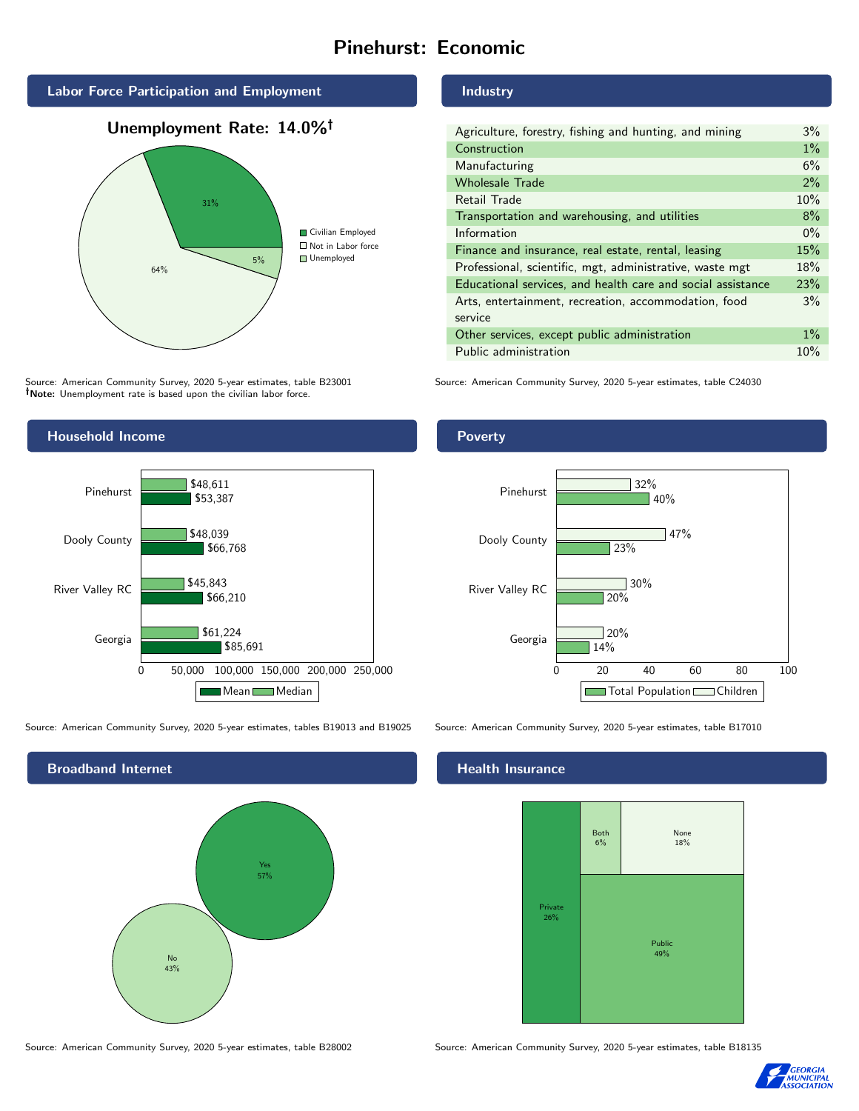# Pinehurst: Economic



## Unemployment Rate: 14.0%



Source: American Community Survey, 2020 5-year estimates, table B23001 Note: Unemployment rate is based upon the civilian labor force.

### Industry

| Agriculture, forestry, fishing and hunting, and mining      | $3\%$ |
|-------------------------------------------------------------|-------|
| Construction                                                | $1\%$ |
| Manufacturing                                               | 6%    |
| <b>Wholesale Trade</b>                                      | 2%    |
| Retail Trade                                                | 10%   |
| Transportation and warehousing, and utilities               | 8%    |
| Information                                                 | $0\%$ |
| Finance and insurance, real estate, rental, leasing         | 15%   |
| Professional, scientific, mgt, administrative, waste mgt    | 18%   |
| Educational services, and health care and social assistance | 23%   |
| Arts, entertainment, recreation, accommodation, food        | 3%    |
| service                                                     |       |
| Other services, except public administration                | $1\%$ |
| Public administration                                       | 10%   |

Source: American Community Survey, 2020 5-year estimates, table C24030



Source: American Community Survey, 2020 5-year estimates, tables B19013 and B19025 Source: American Community Survey, 2020 5-year estimates, table B17010



## **Health Insurance**



Source: American Community Survey, 2020 5-year estimates, table B28002 Source: American Community Survey, 2020 5-year estimates, table B18135



#### Poverty